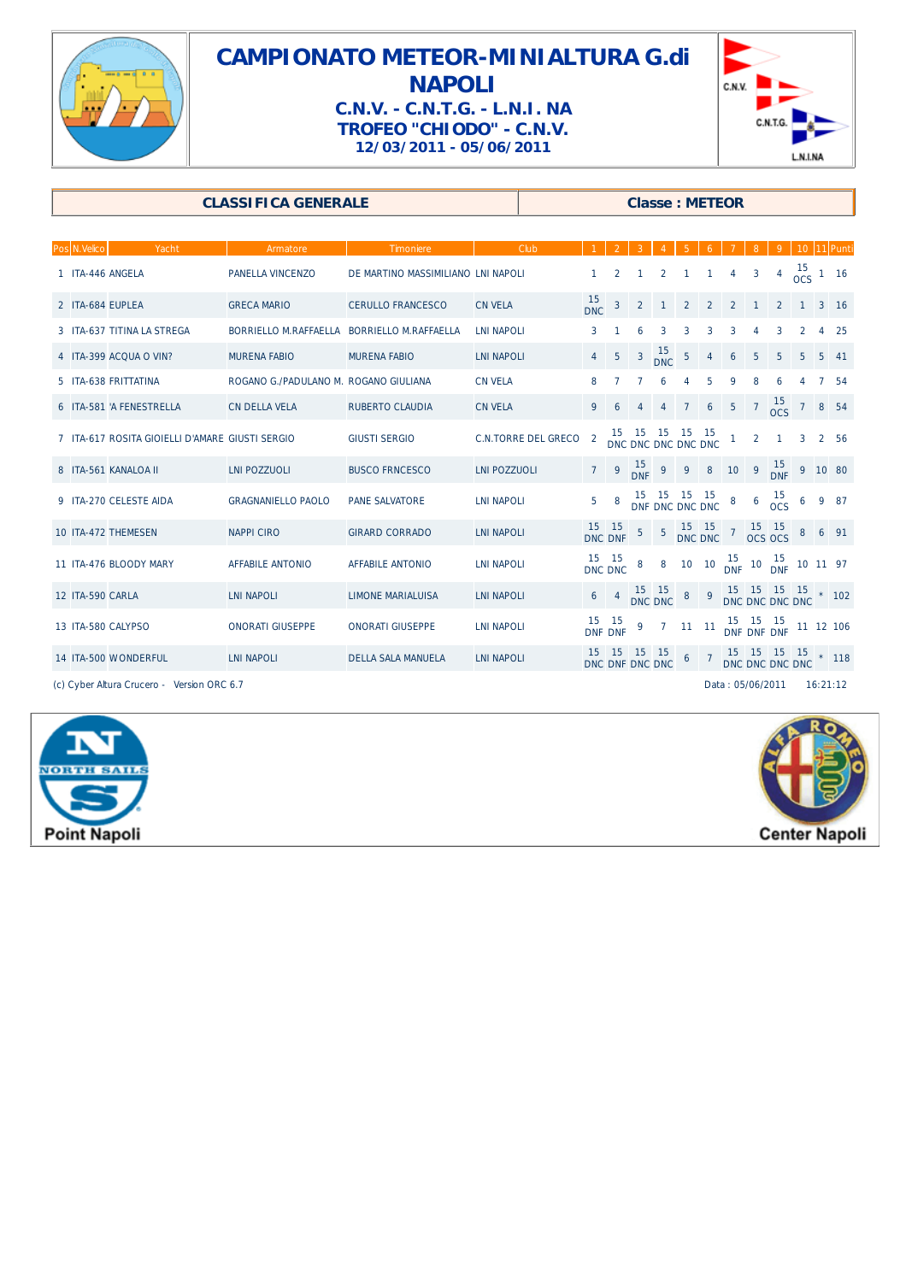

## **CAMPIONATO METEOR-MINIALTURA G.di NAPOLI C.N.V. - C.N.T.G. - L.N.I. NA TROFEO "CHIODO" - C.N.V. 12/03/2011 - 05/06/2011**



## **CLASSIFICA GENERALE CLASSIFICA GENERALE CLASSIFICA**

| Pos N.Velico     | Yacht                                           | Armatore                                    | <b>Timoniere</b>                   | Club                       |                  |                       |                         |                                 |                  |                |                 |                  |                                                             |                        |   | 10 11 Punti     |
|------------------|-------------------------------------------------|---------------------------------------------|------------------------------------|----------------------------|------------------|-----------------------|-------------------------|---------------------------------|------------------|----------------|-----------------|------------------|-------------------------------------------------------------|------------------------|---|-----------------|
|                  | 1 ITA-446 ANGELA                                | <b>PANELLA VINCENZO</b>                     | DE MARTINO MASSIMILIANO LNI NAPOLI |                            |                  | 2                     |                         | $\overline{2}$                  |                  | $\mathbf{1}$   | $\overline{4}$  | 3                |                                                             | $4\frac{15}{0CS}$ 1 16 |   |                 |
|                  | 2 ITA-684 EUPLEA                                | <b>GRECA MARIO</b>                          | <b>CERULLO FRANCESCO</b>           | <b>CN VELA</b>             | 15<br><b>DNC</b> | $\mathbf{3}$          | $\overline{2}$          |                                 | $\overline{2}$   | $\overline{2}$ | $\overline{2}$  |                  | $\overline{2}$                                              |                        |   | 3 <sup>16</sup> |
|                  | 3 ITA-637 TITINA LA STREGA                      | BORRIELLO M.RAFFAELLA BORRIELLO M.RAFFAELLA |                                    | <b>LNI NAPOLI</b>          | 3                |                       |                         | 3                               | 3                | 3              | 3               |                  | 3                                                           | $\overline{2}$         | 4 | -25             |
|                  | 4 ITA-399 ACQUA O VIN?                          | <b>MURENA FABIO</b>                         | <b>MURENA FABIO</b>                | <b>LNI NAPOLI</b>          | $\overline{4}$   | $\overline{5}$        | $\mathbf{3}$            | $15$<br>DNC                     | 5                | 4              | 6               | 5                | 5                                                           | 5                      | 5 | 41              |
|                  | 5 ITA-638 FRITTATINA                            | ROGANO G./PADULANO M. ROGANO GIULIANA       |                                    | <b>CN VELA</b>             | 8                |                       |                         | 6                               | $\overline{4}$   | 5              | 9               | 8                |                                                             |                        |   | -54             |
|                  | 6 ITA-581 'A FENESTRELLA                        | <b>CN DELLA VELA</b>                        | <b>RUBERTO CLAUDIA</b>             | <b>CN VELA</b>             | 9                | 6                     |                         | 4                               | 7                | 6              | $\overline{5}$  | $\overline{7}$   | $\frac{15}{0}$ 7 8 54                                       |                        |   |                 |
|                  | 7 ITA-617 ROSITA GIOIELLI D'AMARE GIUSTI SERGIO |                                             | <b>GIUSTI SERGIO</b>               | <b>C.N.TORRE DEL GRECO</b> | $\overline{2}$   |                       |                         | 15 15 15<br>DNC DNC DNC DNC DNC |                  | $-15$          | $\mathbf{1}$    | $\overline{2}$   | $\mathbf{1}$                                                | 3                      |   | 2 56            |
|                  | 8 ITA-561 KANALOA II                            | <b>LNI POZZUOLI</b>                         | <b>BUSCO FRNCESCO</b>              | <b>LNI POZZUOLI</b>        | $7^{\circ}$      | 9                     | $\frac{15}{\text{DNF}}$ | 9                               | 9                | $\bf 8$        |                 | $10 \quad 9$     | $\frac{15}{\text{DNF}}$ 9 10 80                             |                        |   |                 |
|                  | 9 ITA-270 CELESTE AIDA                          | <b>GRAGNANIELLO PAOLO</b>                   | <b>PANE SALVATORE</b>              | <b>LNI NAPOLI</b>          | 5                | 8                     |                         | - 15<br>DNF DNC DNC DNC         | $-15$            | - 15           | 8               |                  | $6\begin{array}{c} 15 \\ \text{OCS} \end{array}$            | $6\overline{6}$        | 9 | 87              |
|                  | 10 ITA-472 THEMESEN                             | <b>NAPPICIRO</b>                            | <b>GIRARD CORRADO</b>              | <b>LNI NAPOLI</b>          |                  | 15 15<br>DNC DNF      | 5                       | $5\phantom{.0}$                 | 15 15<br>DNC DNC |                | $7\overline{ }$ |                  | $\begin{array}{cc} 15 & 15 \\ \text{OCS OCS} \end{array}$   | 8                      |   | $6$ 91          |
|                  | 11 ITA-476 BLOODY MARY                          | <b>AFFABILE ANTONIO</b>                     | <b>AFFABILE ANTONIO</b>            | <b>LNI NAPOLI</b>          |                  | 15 15<br>DNC DNC      | 8                       | 8                               | 10 10            |                |                 |                  | $\frac{15}{\text{DNF}}$ 10 $\frac{15}{\text{DNF}}$ 10 11 97 |                        |   |                 |
| 12 ITA-590 CARLA |                                                 | <b>LNI NAPOLI</b>                           | <b>LIMONE MARIALUISA</b>           | <b>LNI NAPOLI</b>          | 6                | $\overline{4}$        |                         | 15 15<br>DNC DNC                | $\bf 8$          | $\overline{9}$ |                 |                  | $15$ $15$ $15$ $15$ $*$ $102$<br>DNC DNC DNC DNC            |                        |   |                 |
|                  | 13 ITA-580 CALYPSO                              | <b>ONORATI GIUSEPPE</b>                     | <b>ONORATI GIUSEPPE</b>            | <b>LNI NAPOLI</b>          |                  | 15 15<br>DNF DNF      | 9                       |                                 | $7$ 11 11        |                |                 |                  | 15 15 15<br>DNF DNF DNF                                     |                        |   | 11 12 106       |
|                  | 14 ITA-500 WONDERFUL                            | <b>LNI NAPOLI</b>                           | <b>DELLA SALA MANUELA</b>          | <b>LNI NAPOLI</b>          | 15               | 15<br>DNC DNF DNC DNC | 15                      | 15                              | 6 <sub>7</sub>   |                |                 |                  | 15 15 15 15 15<br>DNC DNC DNC DNC 118                       |                        |   |                 |
|                  | (c) Cyber Altura Crucero - Version ORC 6.7      |                                             |                                    |                            |                  |                       |                         |                                 |                  |                |                 | Data: 05/06/2011 |                                                             |                        |   | 16:21:12        |